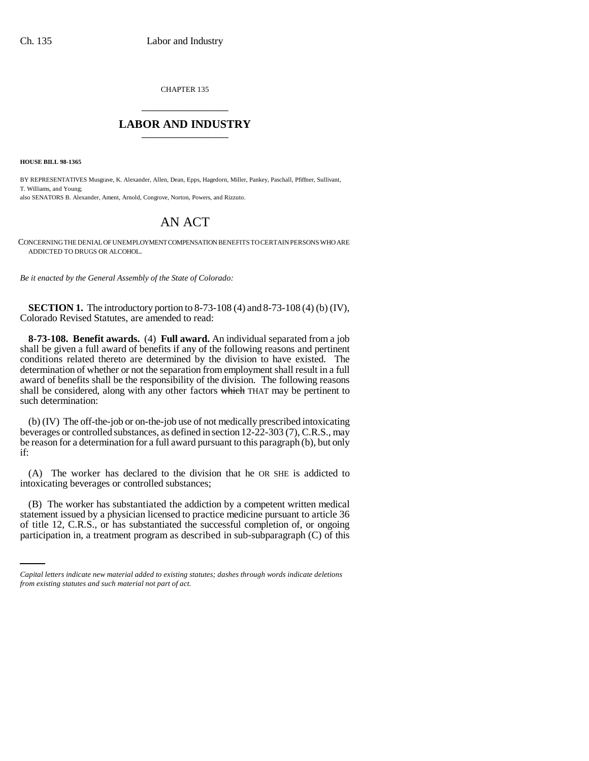CHAPTER 135 \_\_\_\_\_\_\_\_\_\_\_\_\_\_\_

## **LABOR AND INDUSTRY** \_\_\_\_\_\_\_\_\_\_\_\_\_\_\_

**HOUSE BILL 98-1365**

BY REPRESENTATIVES Musgrave, K. Alexander, Allen, Dean, Epps, Hagedorn, Miller, Pankey, Paschall, Pfiffner, Sullivant, T. Williams, and Young; also SENATORS B. Alexander, Ament, Arnold, Congrove, Norton, Powers, and Rizzuto.

## AN ACT

CONCERNING THE DENIAL OF UNEMPLOYMENT COMPENSATION BENEFITS TO CERTAIN PERSONS WHO ARE ADDICTED TO DRUGS OR ALCOHOL.

*Be it enacted by the General Assembly of the State of Colorado:*

**SECTION 1.** The introductory portion to 8-73-108 (4) and 8-73-108 (4) (b) (IV), Colorado Revised Statutes, are amended to read:

**8-73-108. Benefit awards.** (4) **Full award.** An individual separated from a job shall be given a full award of benefits if any of the following reasons and pertinent conditions related thereto are determined by the division to have existed. The determination of whether or not the separation from employment shall result in a full award of benefits shall be the responsibility of the division. The following reasons shall be considered, along with any other factors which THAT may be pertinent to such determination:

(b) (IV) The off-the-job or on-the-job use of not medically prescribed intoxicating beverages or controlled substances, as defined in section 12-22-303 (7), C.R.S., may be reason for a determination for a full award pursuant to this paragraph (b), but only if:

(A) The worker has declared to the division that he OR SHE is addicted to intoxicating beverages or controlled substances;

statement issued by a physician licensed to practice medicine pursuant to article 36 (B) The worker has substantiated the addiction by a competent written medical of title 12, C.R.S., or has substantiated the successful completion of, or ongoing participation in, a treatment program as described in sub-subparagraph (C) of this

*Capital letters indicate new material added to existing statutes; dashes through words indicate deletions from existing statutes and such material not part of act.*